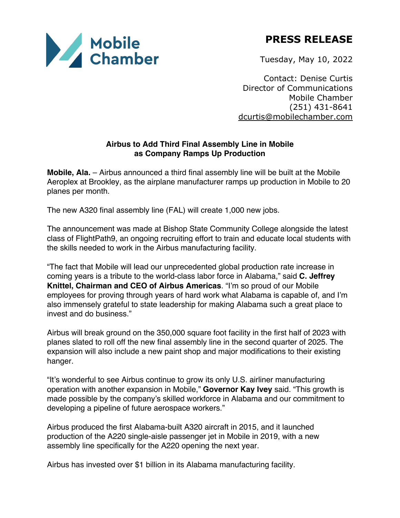

**PRESS RELEASE**

Tuesday, May 10, 2022

Contact: Denise Curtis Director of Communications Mobile Chamber (251) 431-8641 dcurtis@mobilechamber.com

## **Airbus to Add Third Final Assembly Line in Mobile as Company Ramps Up Production**

**Mobile, Ala.** – Airbus announced a third final assembly line will be built at the Mobile Aeroplex at Brookley, as the airplane manufacturer ramps up production in Mobile to 20 planes per month.

The new A320 final assembly line (FAL) will create 1,000 new jobs.

The announcement was made at Bishop State Community College alongside the latest class of FlightPath9, an ongoing recruiting effort to train and educate local students with the skills needed to work in the Airbus manufacturing facility.

"The fact that Mobile will lead our unprecedented global production rate increase in coming years is a tribute to the world-class labor force in Alabama," said **C. Jeffrey Knittel, Chairman and CEO of Airbus Americas**. "I'm so proud of our Mobile employees for proving through years of hard work what Alabama is capable of, and I'm also immensely grateful to state leadership for making Alabama such a great place to invest and do business."

Airbus will break ground on the 350,000 square foot facility in the first half of 2023 with planes slated to roll off the new final assembly line in the second quarter of 2025. The expansion will also include a new paint shop and major modifications to their existing hanger.

"It's wonderful to see Airbus continue to grow its only U.S. airliner manufacturing operation with another expansion in Mobile," **Governor Kay Ivey** said. "This growth is made possible by the company's skilled workforce in Alabama and our commitment to developing a pipeline of future aerospace workers."

Airbus produced the first Alabama-built A320 aircraft in 2015, and it launched production of the A220 single-aisle passenger jet in Mobile in 2019, with a new assembly line specifically for the A220 opening the next year.

Airbus has invested over \$1 billion in its Alabama manufacturing facility.